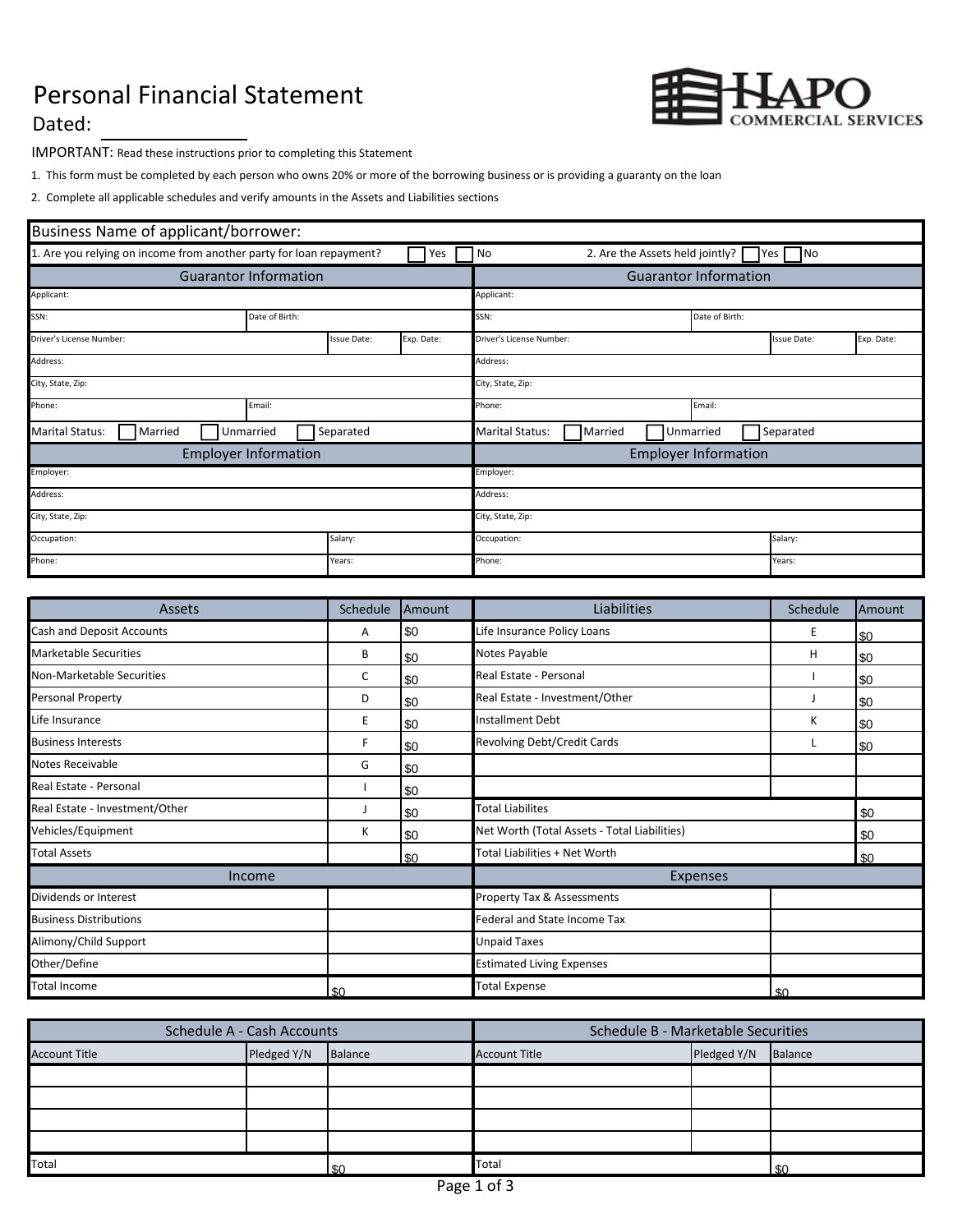## Personal Financial Statement



Dated:

IMPORTANT: Read these instructions prior to completing this Statement

1. This form must be completed by each person who owns 20% or more of the borrowing business or is providing a guaranty on the loan

2. Complete all applicable schedules and verify amounts in the Assets and Liabilities sections

| Business Name of applicant/borrower:                                |  |                    |                   |                                                                |                              |                    |            |  |
|---------------------------------------------------------------------|--|--------------------|-------------------|----------------------------------------------------------------|------------------------------|--------------------|------------|--|
| 1. Are you relying on income from another party for loan repayment? |  |                    | Yes               | 2. Are the Assets held jointly?<br>N <sub>o</sub><br>No<br>Yes |                              |                    |            |  |
| <b>Guarantor Information</b>                                        |  |                    |                   |                                                                | <b>Guarantor Information</b> |                    |            |  |
| Applicant:                                                          |  |                    |                   | Applicant:                                                     |                              |                    |            |  |
| SSN:<br>Date of Birth:                                              |  |                    |                   | SSN:                                                           | Date of Birth:               |                    |            |  |
| Driver's License Number:                                            |  | <b>Issue Date:</b> | Exp. Date:        | Driver's License Number:                                       |                              | <b>Issue Date:</b> | Exp. Date: |  |
| Address:                                                            |  |                    |                   | Address:                                                       |                              |                    |            |  |
| City, State, Zip:                                                   |  |                    |                   | City, State, Zip:                                              |                              |                    |            |  |
| Phone:<br>Email:                                                    |  |                    |                   | Phone:<br>Email:                                               |                              |                    |            |  |
| <b>Marital Status:</b><br>Unmarried<br>Married                      |  | Separated          |                   | Separated<br><b>Marital Status:</b><br>Unmarried<br>Married    |                              |                    |            |  |
| <b>Employer Information</b>                                         |  |                    |                   | <b>Employer Information</b>                                    |                              |                    |            |  |
| Employer:                                                           |  |                    |                   | Employer:                                                      |                              |                    |            |  |
| Address:                                                            |  |                    |                   | Address:                                                       |                              |                    |            |  |
| City, State, Zip:                                                   |  |                    | City, State, Zip: |                                                                |                              |                    |            |  |
| Occupation:                                                         |  | Salary:            |                   | Salary:<br>Occupation:                                         |                              |                    |            |  |
| Phone:                                                              |  | Years:             |                   | Phone:<br>Years:                                               |                              |                    |            |  |

| Assets                         | Schedule | Amount | Liabilities<br>Schedule                      |   | Amount |
|--------------------------------|----------|--------|----------------------------------------------|---|--------|
| Cash and Deposit Accounts      | Α        | \$0    | Life Insurance Policy Loans                  | Е | \$0    |
| <b>Marketable Securities</b>   | B        | \$0    | Notes Payable<br>H                           |   | \$0    |
| Non-Marketable Securities      | C        | \$0    | Real Estate - Personal                       |   | \$0    |
| Personal Property              | D        | \$0    | Real Estate - Investment/Other               |   | \$0    |
| Life Insurance                 | E        | \$0    | <b>Installment Debt</b>                      | К | \$0    |
| <b>Business Interests</b>      | F        | \$0    | Revolving Debt/Credit Cards                  |   | \$0    |
| Notes Receivable               | G        | \$0    |                                              |   |        |
| Real Estate - Personal         |          | \$0    |                                              |   |        |
| Real Estate - Investment/Other |          | \$0    | <b>Total Liabilites</b><br>\$0               |   |        |
| Vehicles/Equipment             | K        | \$0    | Net Worth (Total Assets - Total Liabilities) |   | \$0    |
| <b>Total Assets</b>            |          | \$0    | Total Liabilities + Net Worth                |   | \$0    |
| Income                         |          |        | Expenses                                     |   |        |
| Dividends or Interest          |          |        | <b>Property Tax &amp; Assessments</b>        |   |        |
| <b>Business Distributions</b>  |          |        | Federal and State Income Tax                 |   |        |
| Alimony/Child Support          |          |        | <b>Unpaid Taxes</b>                          |   |        |
| Other/Define                   |          |        | <b>Estimated Living Expenses</b>             |   |        |
| <b>Total Income</b>            | \$0      |        | <b>Total Expense</b><br>\$0                  |   |        |

| <b>Schedule A - Cash Accounts</b> |             |         | Schedule B - Marketable Securities |             |         |  |
|-----------------------------------|-------------|---------|------------------------------------|-------------|---------|--|
| <b>Account Title</b>              | Pledged Y/N | Balance | <b>Account Title</b>               | Pledged Y/N | Balance |  |
|                                   |             |         |                                    |             |         |  |
|                                   |             |         |                                    |             |         |  |
|                                   |             |         |                                    |             |         |  |
|                                   |             |         |                                    |             |         |  |
| Total                             |             | .SO     | Total                              |             | ድ∩      |  |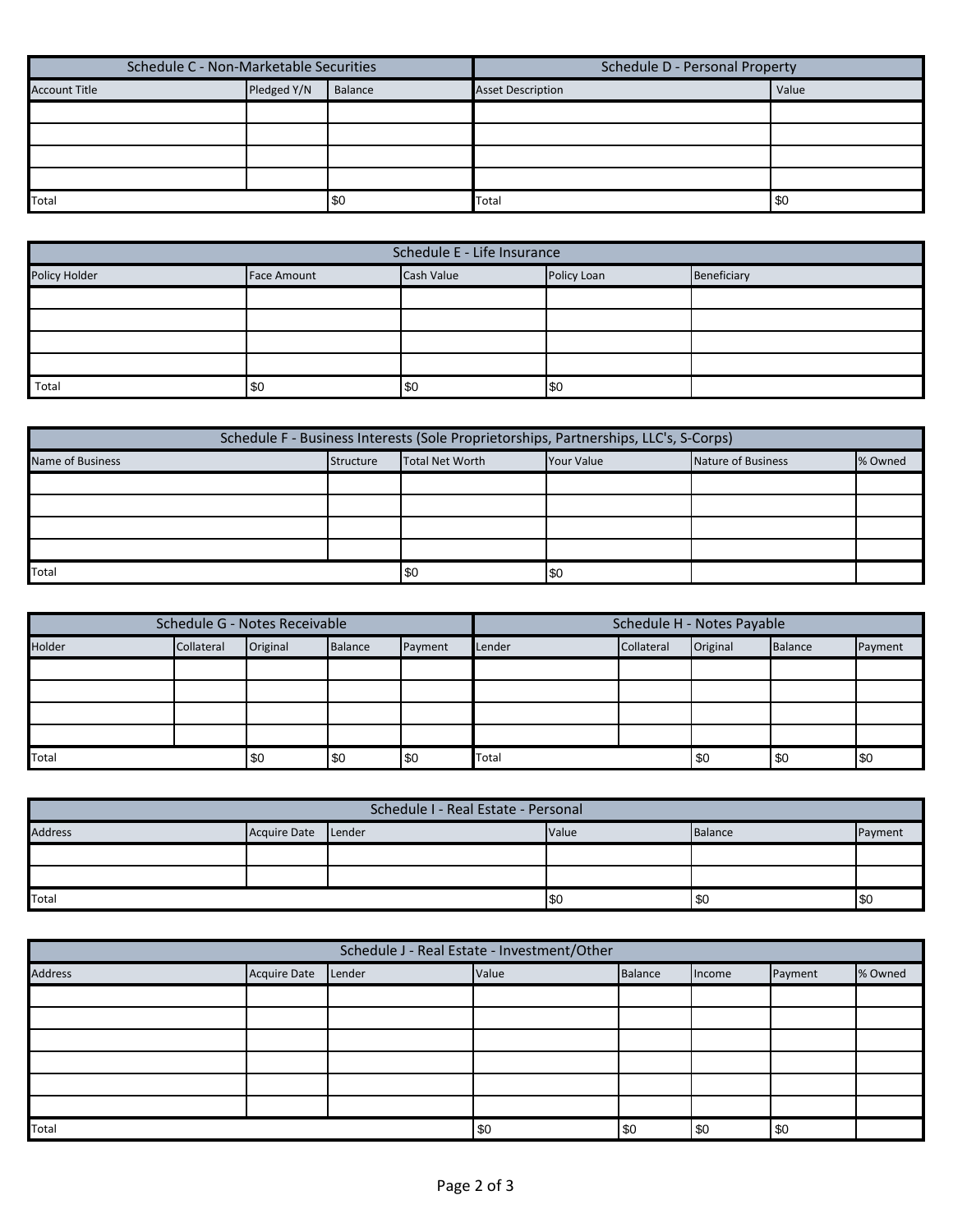| Schedule C - Non-Marketable Securities |             |         | Schedule D - Personal Property |       |  |
|----------------------------------------|-------------|---------|--------------------------------|-------|--|
| <b>Account Title</b>                   | Pledged Y/N | Balance | <b>Asset Description</b>       | Value |  |
|                                        |             |         |                                |       |  |
|                                        |             |         |                                |       |  |
|                                        |             |         |                                |       |  |
|                                        |             |         |                                |       |  |
| Total                                  |             | \$0     | Total                          | i \$0 |  |

| Schedule E - Life Insurance |                    |            |             |             |  |  |  |  |  |
|-----------------------------|--------------------|------------|-------------|-------------|--|--|--|--|--|
| Policy Holder               | <b>Face Amount</b> | Cash Value | Policy Loan | Beneficiary |  |  |  |  |  |
|                             |                    |            |             |             |  |  |  |  |  |
|                             |                    |            |             |             |  |  |  |  |  |
|                             |                    |            |             |             |  |  |  |  |  |
|                             |                    |            |             |             |  |  |  |  |  |
| Total                       | \$0                | l \$0      | \$0         |             |  |  |  |  |  |

| Schedule F - Business Interests (Sole Proprietorships, Partnerships, LLC's, S-Corps) |            |                                                                       |  |  |  |  |  |  |  |
|--------------------------------------------------------------------------------------|------------|-----------------------------------------------------------------------|--|--|--|--|--|--|--|
| Name of Business                                                                     | Structure  | Nature of Business<br>% Owned<br>Total Net Worth<br><b>Your Value</b> |  |  |  |  |  |  |  |
|                                                                                      |            |                                                                       |  |  |  |  |  |  |  |
|                                                                                      |            |                                                                       |  |  |  |  |  |  |  |
|                                                                                      |            |                                                                       |  |  |  |  |  |  |  |
|                                                                                      |            |                                                                       |  |  |  |  |  |  |  |
| Total                                                                                | \$0<br>\$0 |                                                                       |  |  |  |  |  |  |  |

| Schedule G - Notes Receivable |            |          | Schedule H - Notes Payable |         |              |            |          |         |         |
|-------------------------------|------------|----------|----------------------------|---------|--------------|------------|----------|---------|---------|
| Holder                        | Collateral | Original | Balance                    | Payment | Lender       | Collateral | Original | Balance | Payment |
|                               |            |          |                            |         |              |            |          |         |         |
|                               |            |          |                            |         |              |            |          |         |         |
|                               |            |          |                            |         |              |            |          |         |         |
|                               |            |          |                            |         |              |            |          |         |         |
| Total                         |            | \$0      | \$0                        | \$0     | Total<br>\$0 |            | l \$0    | \$0     |         |

| Schedule I - Real Estate - Personal   |       |         |         |           |     |  |  |  |  |
|---------------------------------------|-------|---------|---------|-----------|-----|--|--|--|--|
| <b>Acquire Date</b><br><b>Address</b> | Value | Balance | Payment |           |     |  |  |  |  |
|                                       |       |         |         |           |     |  |  |  |  |
|                                       |       |         |         |           |     |  |  |  |  |
| Total                                 |       |         | I \$0   | <b>SO</b> | SC. |  |  |  |  |

| Schedule J - Real Estate - Investment/Other |              |        |       |         |        |         |         |  |  |
|---------------------------------------------|--------------|--------|-------|---------|--------|---------|---------|--|--|
| <b>Address</b>                              | Acquire Date | Lender | Value | Balance | Income | Payment | % Owned |  |  |
|                                             |              |        |       |         |        |         |         |  |  |
|                                             |              |        |       |         |        |         |         |  |  |
|                                             |              |        |       |         |        |         |         |  |  |
|                                             |              |        |       |         |        |         |         |  |  |
|                                             |              |        |       |         |        |         |         |  |  |
|                                             |              |        |       |         |        |         |         |  |  |
| Total                                       |              |        | \$0   | \$0     | \$0    | \$0     |         |  |  |